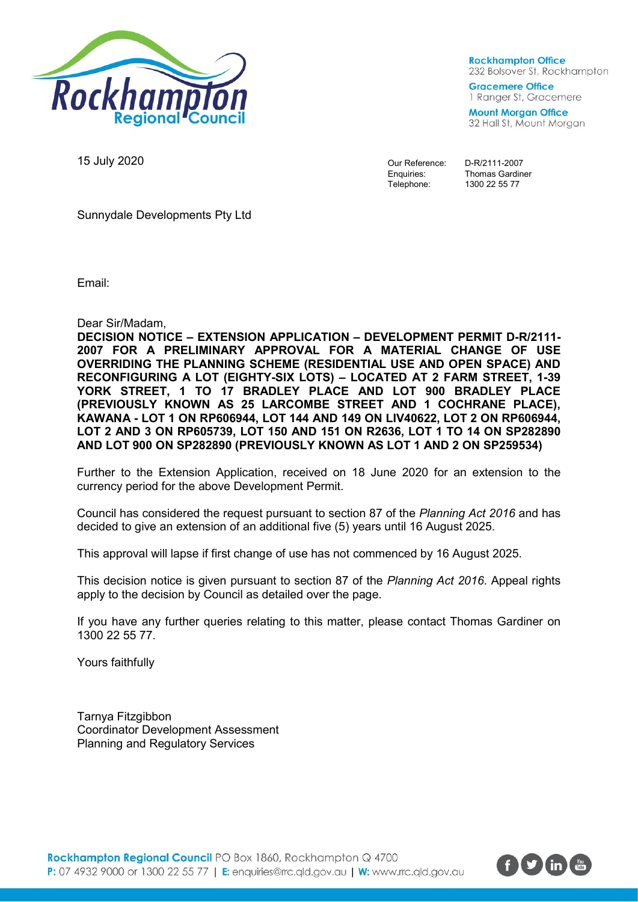

**Rockhampton Office** 232 Bolsover St, Rockhampton

**Gracemere Office** 1 Ranger St, Gracemere

**Mount Morgan Office** 32 Hall St, Mount Morgan

15 July 2020

Our Reference: D-R/2111-2007

Enquiries: Thomas Gardiner<br>Telephone: 1300 22 55 77 1300 22 55 77

Sunnydale Developments Pty Ltd

Email:

Dear Sir/Madam,

**DECISION NOTICE – EXTENSION APPLICATION – DEVELOPMENT PERMIT D-R/2111- 2007 FOR A PRELIMINARY APPROVAL FOR A MATERIAL CHANGE OF USE OVERRIDING THE PLANNING SCHEME (RESIDENTIAL USE AND OPEN SPACE) AND RECONFIGURING A LOT (EIGHTY-SIX LOTS) – LOCATED AT 2 FARM STREET, 1-39 YORK STREET, 1 TO 17 BRADLEY PLACE AND LOT 900 BRADLEY PLACE (PREVIOUSLY KNOWN AS 25 LARCOMBE STREET AND 1 COCHRANE PLACE), KAWANA - LOT 1 ON RP606944, LOT 144 AND 149 ON LIV40622, LOT 2 ON RP606944, LOT 2 AND 3 ON RP605739, LOT 150 AND 151 ON R2636, LOT 1 TO 14 ON SP282890 AND LOT 900 ON SP282890 (PREVIOUSLY KNOWN AS LOT 1 AND 2 ON SP259534)**

Further to the Extension Application, received on 18 June 2020 for an extension to the currency period for the above Development Permit.

Council has considered the request pursuant to section 87 of the *Planning Act 2016* and has decided to give an extension of an additional five (5) years until 16 August 2025.

This approval will lapse if first change of use has not commenced by 16 August 2025.

This decision notice is given pursuant to section 87 of the *Planning Act 2016*. Appeal rights apply to the decision by Council as detailed over the page.

If you have any further queries relating to this matter, please contact Thomas Gardiner on 1300 22 55 77.

Yours faithfully

Tarnya Fitzgibbon Coordinator Development Assessment Planning and Regulatory Services